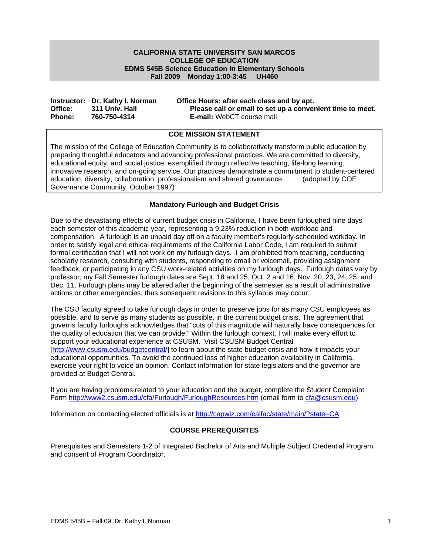#### **Fall 2009 Monday 1:00-3:45 UH460 CALIFORNIA STATE UNIVERSITY SAN MARCOS COLLEGE OF EDUCATION EDMS 545B Science Education in Elementary Schools**

|               | Instructor: Dr. Kathy I. Norman | Office Hours: after each class and by apt.                |
|---------------|---------------------------------|-----------------------------------------------------------|
| Office:       | 311 Univ. Hall                  | Please call or email to set up a convenient time to meet. |
| <b>Phone:</b> | 760-750-4314                    | <b>E-mail:</b> WebCT course mail                          |

#### **COE MISSION STATEMENT**

The mission of the College of Education Community is to collaboratively transform public education by preparing thoughtful educators and advancing professional practices. We are committed to diversity, educational equity, and social justice, exemplified through reflective teaching, life-long learning, innovative research, and on-going service. Our practices demonstrate a commitment to student-centered education, diversity, collaboration, professionalism and shared governance. (adopted by COE Governance Community, October 1997)

## **Mandatory Furlough and Budget Crisis**

Due to the devastating effects of current budget crisis in California, I have been furloughed nine days each semester of this academic year, representing a 9.23% reduction in both workload and compensation. A furlough is an unpaid day off on a faculty member's regularly-scheduled workday. In order to satisfy legal and ethical requirements of the California Labor Code, I am required to submit formal certification that I will not work on my furlough days. I am prohibited from teaching, conducting scholarly research, consulting with students, responding to email or voicemail, providing assignment feedback, or participating in any CSU work-related activities on my furlough days. Furlough dates vary by professor; my Fall Semester furlough dates are Sept. 18 and 25, Oct. 2 and 16, Nov. 20, 23, 24, 25, and Dec. 11. Furlough plans may be altered after the beginning of the semester as a result of administrative actions or other emergencies, thus subsequent revisions to this syllabus may occur.

provided at Budget Central. The CSU faculty agreed to take furlough days in order to preserve jobs for as many CSU employees as possible, and to serve as many students as possible, in the current budget crisis. The agreement that governs faculty furloughs acknowledges that "cuts of this magnitude will naturally have consequences for the quality of education that we can provide." Within the furlough context, I will make every effort to support your educational experience at CSUSM. Visit CSUSM Budget Central [http://www.csusm.edu/budgetcentral/] to learn about the state budget crisis and how it impacts your educational opportunities. To avoid the continued loss of higher education availability in California, exercise your right to voice an opinion. Contact information for state legislators and the governor are

If you are having problems related to your education and the budget, complete the Student Complaint Form http://www2.csusm.edu/cfa/Furlough/FurloughResources.htm (email form to cfa@csusm.edu)

Information on contacting elected officials is at http://capwiz.com/calfac/state/main/?state=CA

## **COURSE PREREQUISITES**

Prerequisites and Semesters 1-2 of Integrated Bachelor of Arts and Multiple Subject Credential Program and consent of Program Coordinator.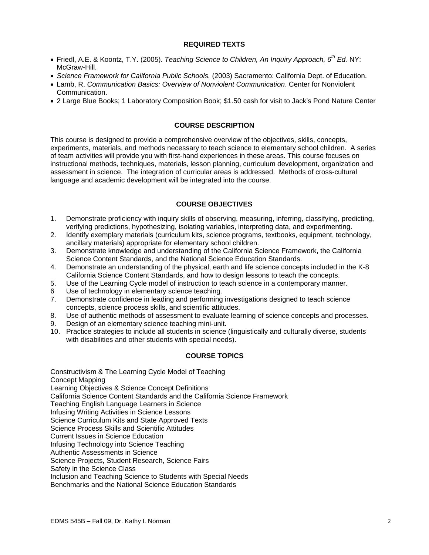#### **REQUIRED TEXTS**

- Friedl, A.E. & Koontz, T.Y. (2005). *Teaching Science to Children, An Inquiry Approach, 6th Ed.* NY: McGraw-Hill.
- *Science Framework for California Public Schools.* (2003) Sacramento: California Dept. of Education.
- Lamb, R. *Communication Basics: Overview of Nonviolent Communication*. Center for Nonviolent Communication.
- 2 Large Blue Books; 1 Laboratory Composition Book; \$1.50 cash for visit to Jack's Pond Nature Center

## **COURSE DESCRIPTION**

This course is designed to provide a comprehensive overview of the objectives, skills, concepts, experiments, materials, and methods necessary to teach science to elementary school children. A series of team activities will provide you with first-hand experiences in these areas. This course focuses on instructional methods, techniques, materials, lesson planning, curriculum development, organization and assessment in science. The integration of curricular areas is addressed. Methods of cross-cultural language and academic development will be integrated into the course.

## **COURSE OBJECTIVES**

- 1. Demonstrate proficiency with inquiry skills of observing, measuring, inferring, classifying, predicting, verifying predictions, hypothesizing, isolating variables, interpreting data, and experimenting.
- 2. Identify exemplary materials (curriculum kits, science programs, textbooks, equipment, technology, ancillary materials) appropriate for elementary school children.
- 3. Demonstrate knowledge and understanding of the California Science Framework, the California Science Content Standards, and the National Science Education Standards.
- 4. Demonstrate an understanding of the physical, earth and life science concepts included in the K-8 California Science Content Standards, and how to design lessons to teach the concepts.
- 5. Use of the Learning Cycle model of instruction to teach science in a contemporary manner.
- 6 Use of technology in elementary science teaching.
- 7. Demonstrate confidence in leading and performing investigations designed to teach science concepts, science process skills, and scientific attitudes.
- 8. Use of authentic methods of assessment to evaluate learning of science concepts and processes.
- 9. Design of an elementary science teaching mini-unit.
- 10. Practice strategies to include all students in science (linguistically and culturally diverse, students with disabilities and other students with special needs).

## **COURSE TOPICS**

Constructivism & The Learning Cycle Model of Teaching Concept Mapping Learning Objectives & Science Concept Definitions California Science Content Standards and the California Science Framework Teaching English Language Learners in Science Infusing Writing Activities in Science Lessons Science Curriculum Kits and State Approved Texts Science Process Skills and Scientific Attitudes Current Issues in Science Education Infusing Technology into Science Teaching Authentic Assessments in Science Science Projects, Student Research, Science Fairs Safety in the Science Class Inclusion and Teaching Science to Students with Special Needs Benchmarks and the National Science Education Standards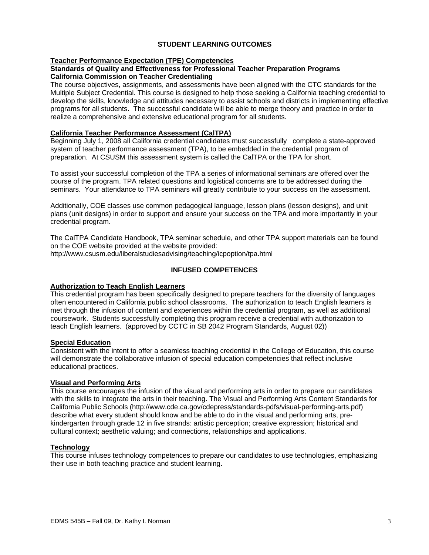## **STUDENT LEARNING OUTCOMES**

#### **Teacher Performance Expectation (TPE) Competencies**

#### **Standards of Quality and Effectiveness for Professional Teacher Preparation Programs California Commission on Teacher Credentialing**

The course objectives, assignments, and assessments have been aligned with the CTC standards for the Multiple Subject Credential. This course is designed to help those seeking a California teaching credential to develop the skills, knowledge and attitudes necessary to assist schools and districts in implementing effective programs for all students. The successful candidate will be able to merge theory and practice in order to realize a comprehensive and extensive educational program for all students.

#### **California Teacher Performance Assessment (CalTPA)**

Beginning July 1, 2008 all California credential candidates must successfully complete a state-approved system of teacher performance assessment (TPA), to be embedded in the credential program of preparation. At CSUSM this assessment system is called the CalTPA or the TPA for short.

To assist your successful completion of the TPA a series of informational seminars are offered over the course of the program. TPA related questions and logistical concerns are to be addressed during the seminars. Your attendance to TPA seminars will greatly contribute to your success on the assessment.

Additionally, COE classes use common pedagogical language, lesson plans (lesson designs), and unit plans (unit designs) in order to support and ensure your success on the TPA and more importantly in your credential program.

The CalTPA Candidate Handbook, TPA seminar schedule, and other TPA support materials can be found on the COE website provided at the website provided: http://www.csusm.edu/liberalstudiesadvising/teaching/icpoption/tpa.html

### **INFUSED COMPETENCES**

#### **Authorization to Teach English Learners**

This credential program has been specifically designed to prepare teachers for the diversity of languages often encountered in California public school classrooms. The authorization to teach English learners is met through the infusion of content and experiences within the credential program, as well as additional coursework. Students successfully completing this program receive a credential with authorization to teach English learners. (approved by CCTC in SB 2042 Program Standards, August 02))

### **Special Education**

Consistent with the intent to offer a seamless teaching credential in the College of Education, this course will demonstrate the collaborative infusion of special education competencies that reflect inclusive educational practices.

#### **Visual and Performing Arts**

This course encourages the infusion of the visual and performing arts in order to prepare our candidates with the skills to integrate the arts in their teaching. The Visual and Performing Arts Content Standards for California Public Schools (http://www.cde.ca.gov/cdepress/standards-pdfs/visual-performing-arts.pdf) describe what every student should know and be able to do in the visual and performing arts, prekindergarten through grade 12 in five strands: artistic perception; creative expression; historical and cultural context; aesthetic valuing; and connections, relationships and applications.

#### **Technology**

This course infuses technology competences to prepare our candidates to use technologies, emphasizing their use in both teaching practice and student learning.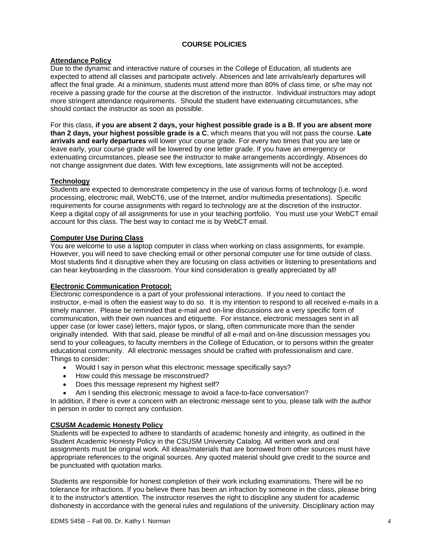## **COURSE POLICIES**

#### **Attendance Policy**

Due to the dynamic and interactive nature of courses in the College of Education, all students are expected to attend all classes and participate actively. Absences and late arrivals/early departures will affect the final grade. At a minimum, students must attend more than 80% of class time, or s/he may not receive a passing grade for the course at the discretion of the instructor. Individual instructors may adopt more stringent attendance requirements. Should the student have extenuating circumstances, s/he should contact the instructor as soon as possible.

For this class, **if you are absent 2 days, your highest possible grade is a B. If you are absent more than 2 days, your highest possible grade is a C**, which means that you will not pass the course. **Late arrivals and early departures** will lower your course grade. For every two times that you are late or leave early, your course grade will be lowered by one letter grade. If you have an emergency or extenuating circumstances, please see the instructor to make arrangements accordingly. Absences do not change assignment due dates. With few exceptions, late assignments will not be accepted.

## **Technology**

Students are expected to demonstrate competency in the use of various forms of technology (i.e. word processing, electronic mail, WebCT6, use of the Internet, and/or multimedia presentations). Specific requirements for course assignments with regard to technology are at the discretion of the instructor. Keep a digital copy of all assignments for use in your teaching portfolio. You must use your WebCT email account for this class. The best way to contact me is by WebCT email.

### **Computer Use During Class**

You are welcome to use a laptop computer in class when working on class assignments, for example. However, you will need to save checking email or other personal computer use for time outside of class. Most students find it disruptive when they are focusing on class activities or listening to presentations and can hear keyboarding in the classroom. Your kind consideration is greatly appreciated by all!

#### **Electronic Communication Protocol:**

Electronic correspondence is a part of your professional interactions. If you need to contact the instructor, e-mail is often the easiest way to do so. It is my intention to respond to all received e-mails in a timely manner. Please be reminded that e-mail and on-line discussions are a very specific form of communication, with their own nuances and etiquette. For instance, electronic messages sent in all upper case (or lower case) letters, major typos, or slang, often communicate more than the sender originally intended. With that said, please be mindful of all e-mail and on-line discussion messages you send to your colleagues, to faculty members in the College of Education, or to persons within the greater educational community. All electronic messages should be crafted with professionalism and care. Things to consider:

- Would I say in person what this electronic message specifically says?
- How could this message be misconstrued?
- Does this message represent my highest self?
- Am I sending this electronic message to avoid a face-to-face conversation?

In addition, if there is ever a concern with an electronic message sent to you, please talk with the author in person in order to correct any confusion.

#### **CSUSM Academic Honesty Policy**

Students will be expected to adhere to standards of academic honesty and integrity, as outlined in the Student Academic Honesty Policy in the CSUSM University Catalog. All written work and oral assignments must be original work. All ideas/materials that are borrowed from other sources must have appropriate references to the original sources. Any quoted material should give credit to the source and be punctuated with quotation marks.

Students are responsible for honest completion of their work including examinations. There will be no tolerance for infractions. If you believe there has been an infraction by someone in the class, please bring it to the instructor's attention. The instructor reserves the right to discipline any student for academic dishonesty in accordance with the general rules and regulations of the university. Disciplinary action may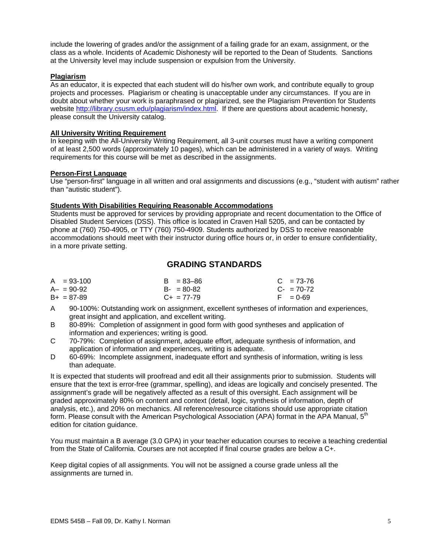include the lowering of grades and/or the assignment of a failing grade for an exam, assignment, or the class as a whole. Incidents of Academic Dishonesty will be reported to the Dean of Students. Sanctions at the University level may include suspension or expulsion from the University.

### **Plagiarism**

As an educator, it is expected that each student will do his/her own work, and contribute equally to group projects and processes. Plagiarism or cheating is unacceptable under any circumstances. If you are in doubt about whether your work is paraphrased or plagiarized, see the Plagiarism Prevention for Students website http://library.csusm.edu/plagiarism/index.html. If there are questions about academic honesty, please consult the University catalog.

#### **All University Writing Requirement**

In keeping with the All-University Writing Requirement, all 3-unit courses must have a writing component of at least 2,500 words (approximately 10 pages), which can be administered in a variety of ways. Writing requirements for this course will be met as described in the assignments.

#### **Person-First Language**

Use "person-first" language in all written and oral assignments and discussions (e.g., "student with autism" rather than "autistic student").

## **Students With Disabilities Requiring Reasonable Accommodations**

Students must be approved for services by providing appropriate and recent documentation to the Office of Disabled Student Services (DSS). This office is located in Craven Hall 5205, and can be contacted by phone at (760) 750-4905, or TTY (760) 750-4909. Students authorized by DSS to receive reasonable accommodations should meet with their instructor during office hours or, in order to ensure confidentiality, in a more private setting.

## **GRADING STANDARDS**

| $A = 93-100$    | $B = 83 - 86$   | $C = 73-76$ |
|-----------------|-----------------|-------------|
| $A - = 90 - 92$ | $B - 80 - 82$   | $C - 70-72$ |
| $B+ = 87-89$    | $C_{+}$ = 77-79 | $F = 0.69$  |

- A 90-100%: Outstanding work on assignment, excellent syntheses of information and experiences, great insight and application, and excellent writing.
- B 80-89%: Completion of assignment in good form with good syntheses and application of information and experiences; writing is good.
- $\mathsf{C}$ 70-79%: Completion of assignment, adequate effort, adequate synthesis of information, and application of information and experiences, writing is adequate.
- D 60-69%: Incomplete assignment, inadequate effort and synthesis of information, writing is less than adequate.

It is expected that students will proofread and edit all their assignments prior to submission. Students will ensure that the text is error-free (grammar, spelling), and ideas are logically and concisely presented. The assignment's grade will be negatively affected as a result of this oversight. Each assignment will be graded approximately 80% on content and context (detail, logic, synthesis of information, depth of analysis, etc.), and 20% on mechanics. All reference/resource citations should use appropriate citation form. Please consult with the American Psychological Association (APA) format in the APA Manual, 5<sup>th</sup> edition for citation guidance.

You must maintain a B average (3.0 GPA) in your teacher education courses to receive a teaching credential from the State of California. Courses are not accepted if final course grades are below a C+.

assignments are turned in. Keep digital copies of all assignments. You will not be assigned a course grade unless all the assignments are turned in.<br>EDMS 545B – Fall 09, Dr. Kathy I. Norman 55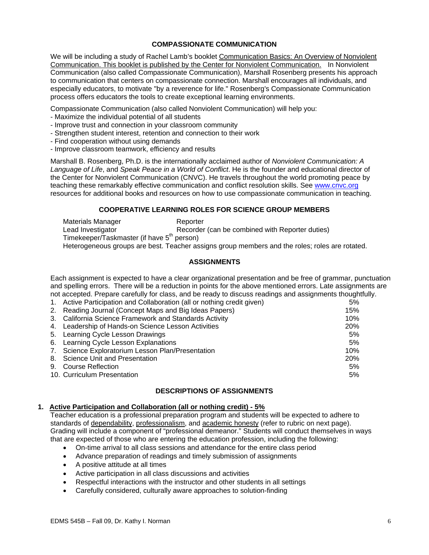## **COMPASSIONATE COMMUNICATION**

We will be including a study of Rachel Lamb's booklet Communication Basics: An Overview of Nonviolent Communication. This booklet is published by the Center for Nonviolent Communication. In Nonviolent Communication (also called Compassionate Communication), Marshall Rosenberg presents his approach to communication that centers on compassionate connection. Marshall encourages all individuals, and especially educators, to motivate "by a reverence for life." Rosenberg's Compassionate Communication process offers educators the tools to create exceptional learning environments.

Compassionate Communication (also called Nonviolent Communication) will help you:

- Maximize the individual potential of all students
- Improve trust and connection in your classroom community
- Strengthen student interest, retention and connection to their work
- Find cooperation without using demands
- Improve classroom teamwork, efficiency and results

Marshall B. Rosenberg, Ph.D. is the internationally acclaimed author of *Nonviolent Communication: A Language of Life*, and *Speak Peace in a World of Conflict*. He is the founder and educational director of the Center for Nonviolent Communication (CNVC). He travels throughout the world promoting peace by teaching these remarkably effective communication and conflict resolution skills. See www.cnvc.org resources for additional books and resources on how to use compassionate communication in teaching.

## **COOPERATIVE LEARNING ROLES FOR SCIENCE GROUP MEMBERS**

Materials Manager **Reporter** Lead Investigator **Recorder (can be combined with Reporter duties)** Timekeeper/Taskmaster (if have 5<sup>th</sup> person) Heterogeneous groups are best. Teacher assigns group members and the roles; roles are rotated.

## **ASSIGNMENTS**

Each assignment is expected to have a clear organizational presentation and be free of grammar, punctuation and spelling errors. There will be a reduction in points for the above mentioned errors. Late assignments are not accepted. Prepare carefully for class, and be ready to discuss readings and assignments thoughtfully.

| 1. Active Participation and Collaboration (all or nothing credit given) | 5%         |
|-------------------------------------------------------------------------|------------|
| 2. Reading Journal (Concept Maps and Big Ideas Papers)                  | 15%        |
| 3. California Science Framework and Standards Activity                  | 10%        |
| 4. Leadership of Hands-on Science Lesson Activities                     | <b>20%</b> |
| 5. Learning Cycle Lesson Drawings                                       | 5%         |
| 6. Learning Cycle Lesson Explanations                                   | 5%         |
| 7. Science Exploratorium Lesson Plan/Presentation                       | 10%        |
| 8. Science Unit and Presentation                                        | <b>20%</b> |
| 9. Course Reflection                                                    | 5%         |
| 10. Curriculum Presentation                                             | 5%         |
|                                                                         |            |

#### **DESCRIPTIONS OF ASSIGNMENTS**

#### **1. Active Participation and Collaboration (all or nothing credit) - 5%**

Teacher education is a professional preparation program and students will be expected to adhere to standards of dependability, professionalism, and academic honesty (refer to rubric on next page). Grading will include a component of "professional demeanor." Students will conduct themselves in ways that are expected of those who are entering the education profession, including the following:

- • On-time arrival to all class sessions and attendance for the entire class period
- Advance preparation of readings and timely submission of assignments
- A positive attitude at all times
- Active participation in all class discussions and activities
- Respectful interactions with the instructor and other students in all settings
- Carefully considered, culturally aware approaches to solution-finding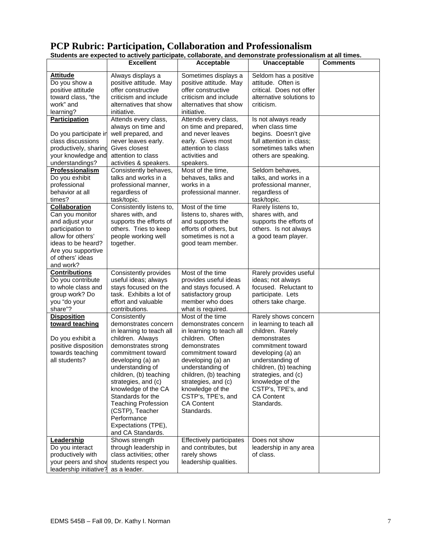| Students are expected to actively participate, collaborate, and demonstrate professionalism at all times.                                                                                                                                                                                                                                                                                                  |                                                                                                                                                                                                                                                                                                                                                                                                           |                                                                                                                                                                                                                                                                                                                                                                       |                                                                                                                                                                                                                                                                                                                                                                     |                 |  |
|------------------------------------------------------------------------------------------------------------------------------------------------------------------------------------------------------------------------------------------------------------------------------------------------------------------------------------------------------------------------------------------------------------|-----------------------------------------------------------------------------------------------------------------------------------------------------------------------------------------------------------------------------------------------------------------------------------------------------------------------------------------------------------------------------------------------------------|-----------------------------------------------------------------------------------------------------------------------------------------------------------------------------------------------------------------------------------------------------------------------------------------------------------------------------------------------------------------------|---------------------------------------------------------------------------------------------------------------------------------------------------------------------------------------------------------------------------------------------------------------------------------------------------------------------------------------------------------------------|-----------------|--|
|                                                                                                                                                                                                                                                                                                                                                                                                            | <b>Excellent</b>                                                                                                                                                                                                                                                                                                                                                                                          | Acceptable                                                                                                                                                                                                                                                                                                                                                            | Unacceptable                                                                                                                                                                                                                                                                                                                                                        | <b>Comments</b> |  |
| <b>Attitude</b><br>Do you show a<br>positive attitude<br>toward class, "the<br>work" and<br>learning?                                                                                                                                                                                                                                                                                                      | Always displays a<br>positive attitude. May<br>offer constructive<br>criticism and include<br>alternatives that show<br>initiative.                                                                                                                                                                                                                                                                       | Sometimes displays a<br>positive attitude. May<br>offer constructive<br>criticism and include<br>alternatives that show<br>initiative.                                                                                                                                                                                                                                | Seldom has a positive<br>attitude. Often is<br>critical. Does not offer<br>alternative solutions to<br>criticism.                                                                                                                                                                                                                                                   |                 |  |
| <b>Participation</b><br>Do you participate in<br>class discussions<br>productively, sharing<br>your knowledge and<br>understandings?<br>Professionalism<br>Do you exhibit<br>professional<br>behavior at all<br>times?<br><b>Collaboration</b><br>Can you monitor<br>and adjust your<br>participation to<br>allow for others'<br>ideas to be heard?<br>Are you supportive<br>of others' ideas<br>and work? | Attends every class,<br>always on time and<br>well prepared, and<br>never leaves early.<br>Gives closest<br>attention to class<br>activities & speakers.<br>Consistently behaves,<br>talks and works in a<br>professional manner,<br>regardless of<br>task/topic.<br>Consistently listens to,<br>shares with, and<br>supports the efforts of<br>others. Tries to keep<br>people working well<br>together. | Attends every class,<br>on time and prepared,<br>and never leaves<br>early. Gives most<br>attention to class<br>activities and<br>speakers.<br>Most of the time,<br>behaves, talks and<br>works in a<br>professional manner.<br>Most of the time<br>listens to, shares with,<br>and supports the<br>efforts of others, but<br>sometimes is not a<br>good team member. | Is not always ready<br>when class time<br>begins. Doesn't give<br>full attention in class:<br>sometimes talks when<br>others are speaking.<br>Seldom behaves,<br>talks, and works in a<br>professional manner,<br>regardless of<br>task/topic.<br>Rarely listens to,<br>shares with, and<br>supports the efforts of<br>others. Is not always<br>a good team player. |                 |  |
| <b>Contributions</b><br>Do you contribute<br>to whole class and<br>group work? Do<br>you "do your<br>share"?                                                                                                                                                                                                                                                                                               | Consistently provides<br>useful ideas; always<br>stays focused on the<br>task. Exhibits a lot of<br>effort and valuable<br>contributions.                                                                                                                                                                                                                                                                 | Most of the time<br>provides useful ideas<br>and stays focused. A<br>satisfactory group<br>member who does<br>what is required.                                                                                                                                                                                                                                       | Rarely provides useful<br>ideas; not always<br>focused. Reluctant to<br>participate. Lets<br>others take charge.                                                                                                                                                                                                                                                    |                 |  |
| <b>Disposition</b><br>toward teaching<br>Do you exhibit a<br>positive disposition<br>towards teaching<br>all students?                                                                                                                                                                                                                                                                                     | Consistently<br>demonstrates concern<br>in learning to teach all<br>children. Always<br>demonstrates strong<br>commitment toward<br>developing (a) an<br>understanding of<br>children, (b) teaching<br>strategies, and (c)<br>knowledge of the CA<br>Standards for the<br><b>Teaching Profession</b><br>(CSTP), Teacher<br>Performance<br>Expectations (TPE),<br>and CA Standards.                        | Most of the time<br>demonstrates concern<br>in learning to teach all<br>children. Often<br>demonstrates<br>commitment toward<br>developing (a) an<br>understanding of<br>children, (b) teaching<br>strategies, and (c)<br>knowledge of the<br>CSTP's, TPE's, and<br><b>CA Content</b><br>Standards.                                                                   | Rarely shows concern<br>in learning to teach all<br>children. Rarely<br>demonstrates<br>commitment toward<br>developing (a) an<br>understanding of<br>children, (b) teaching<br>strategies, and (c)<br>knowledge of the<br>CSTP's, TPE's, and<br><b>CA Content</b><br>Standards.                                                                                    |                 |  |
| Leadership<br>Do you interact<br>productively with<br>your peers and shov<br>leadership initiative?                                                                                                                                                                                                                                                                                                        | Shows strength<br>through leadership in<br>class activities; other<br>students respect you<br>as a leader.                                                                                                                                                                                                                                                                                                | Effectively participates<br>and contributes, but<br>rarely shows<br>leadership qualities.                                                                                                                                                                                                                                                                             | Does not show<br>leadership in any area<br>of class.                                                                                                                                                                                                                                                                                                                |                 |  |

# **PCP Rubric: Participation, Collaboration and Professionalism**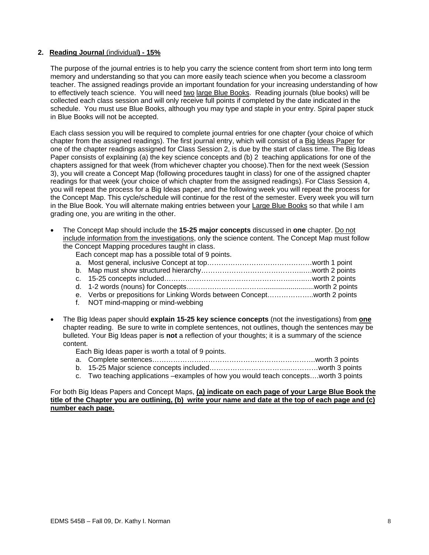### **2. Reading Journal** (individual**) - 15%**

The purpose of the journal entries is to help you carry the science content from short term into long term memory and understanding so that you can more easily teach science when you become a classroom teacher. The assigned readings provide an important foundation for your increasing understanding of how to effectively teach science. You will need two large Blue Books. Reading journals (blue books) will be collected each class session and will only receive full points if completed by the date indicated in the schedule. You must use Blue Books, although you may type and staple in your entry. Spiral paper stuck in Blue Books will not be accepted.

Each class session you will be required to complete journal entries for one chapter (your choice of which chapter from the assigned readings). The first journal entry, which will consist of a Big Ideas Paper for one of the chapter readings assigned for Class Session 2, is due by the start of class time. The Big Ideas Paper consists of explaining (a) the key science concepts and (b) 2 teaching applications for one of the chapters assigned for that week (from whichever chapter you choose).Then for the next week (Session 3), you will create a Concept Map (following procedures taught in class) for one of the assigned chapter readings for that week (your choice of which chapter from the assigned readings). For Class Session 4, you will repeat the process for a Big Ideas paper, and the following week you will repeat the process for the Concept Map. This cycle/schedule will continue for the rest of the semester. Every week you will turn in the Blue Book. You will alternate making entries between your Large Blue Books so that while I am grading one, you are writing in the other.

- The Concept Map should include the 15-25 major concepts discussed in one chapter. Do not include information from the investigations, only the science content. The Concept Map must follow the Concept Mapping procedures taught in class.
	- Each concept map has a possible total of 9 points.

|  | . |  |  |  | . |  |
|--|---|--|--|--|---|--|

- b. Map must show structured hierarchy……………………………………..….worth 2 points
- c. 15-25 concepts included………………………………………………..…..…worth 2 points d. 1-2 words (nouns) for Concepts……………………………..........................worth 2 points
- e. Verbs or prepositions for Linking Words between Concept………………..worth 2 points
- f. NOT mind-mapping or mind-webbing
- The Big Ideas paper should **explain 15-25 key science concepts** (not the investigations) from **one** chapter reading. Be sure to write in complete sentences, not outlines, though the sentences may be bulleted. Your Big Ideas paper is **not** a reflection of your thoughts; it is a summary of the science content.

Each Big Ideas paper is worth a total of 9 points.

- a. Complete sentences…………………………………………………………….worth 3 points
- b. 15-25 Major science concepts included……………………………..…………worth 3 points
- c. Two teaching applications –examples of how you would teach concepts….worth 3 points

For both Big Ideas Papers and Concept Maps, **(a) indicate on each page of your Large Blue Book the title of the Chapter you are outlining, (b) write your name and date at the top of each page and (c) number each page.**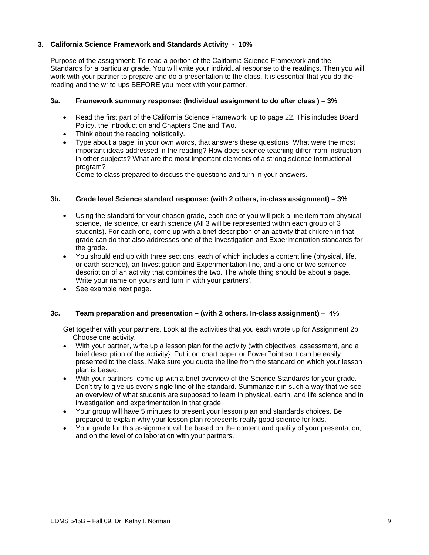## **3. California Science Framework and Standards Activity** - **10%**

Purpose of the assignment: To read a portion of the California Science Framework and the Standards for a particular grade. You will write your individual response to the readings. Then you will work with your partner to prepare and do a presentation to the class. It is essential that you do the reading and the write-ups BEFORE you meet with your partner.

#### **3a. Framework summary response: (Individual assignment to do after class ) – 3%**

- Read the first part of the California Science Framework, up to page 22. This includes Board Policy, the Introduction and Chapters One and Two.
- Think about the reading holistically.
- Type about a page, in your own words, that answers these questions: What were the most important ideas addressed in the reading? How does science teaching differ from instruction in other subjects? What are the most important elements of a strong science instructional program?

Come to class prepared to discuss the questions and turn in your answers.

### **3b. Grade level Science standard response: (with 2 others, in-class assignment) – 3%**

- Using the standard for your chosen grade, each one of you will pick a line item from physical science, life science, or earth science (All 3 will be represented within each group of 3 students). For each one, come up with a brief description of an activity that children in that grade can do that also addresses one of the Investigation and Experimentation standards for the grade.
- You should end up with three sections, each of which includes a content line (physical, life, or earth science), an Investigation and Experimentation line, and a one or two sentence description of an activity that combines the two. The whole thing should be about a page. Write your name on yours and turn in with your partners'.
- See example next page.

#### **3c. Team preparation and presentation – (with 2 others, In-class assignment)** – 4%

Get together with your partners. Look at the activities that you each wrote up for Assignment 2b. Choose one activity.

- With your partner, write up a lesson plan for the activity (with objectives, assessment, and a brief description of the activity}. Put it on chart paper or PowerPoint so it can be easily presented to the class. Make sure you quote the line from the standard on which your lesson plan is based.
- With your partners, come up with a brief overview of the Science Standards for your grade. Don't try to give us every single line of the standard. Summarize it in such a way that we see an overview of what students are supposed to learn in physical, earth, and life science and in investigation and experimentation in that grade.
- Your group will have 5 minutes to present your lesson plan and standards choices. Be prepared to explain why your lesson plan represents really good science for kids.
- Your grade for this assignment will be based on the content and quality of your presentation, and on the level of collaboration with your partners.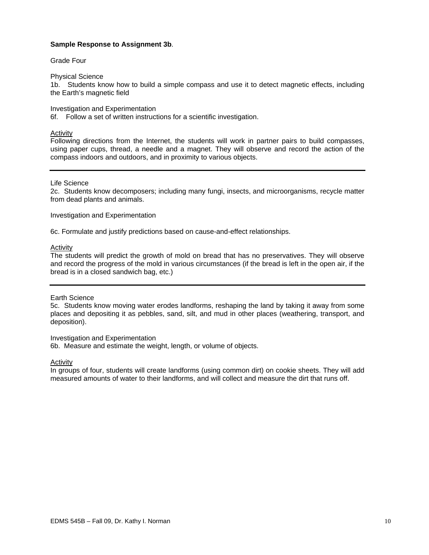#### **Sample Response to Assignment 3b**.

#### Grade Four

#### Physical Science

1b. Students know how to build a simple compass and use it to detect magnetic effects, including the Earth's magnetic field

Investigation and Experimentation

6f. Follow a set of written instructions for a scientific investigation.

#### Activity

Following directions from the Internet, the students will work in partner pairs to build compasses, using paper cups, thread, a needle and a magnet. They will observe and record the action of the compass indoors and outdoors, and in proximity to various objects.

#### Life Science

2c. Students know decomposers; including many fungi, insects, and microorganisms, recycle matter from dead plants and animals.

#### Investigation and Experimentation

6c. Formulate and justify predictions based on cause-and-effect relationships.

### **Activity**

The students will predict the growth of mold on bread that has no preservatives. They will observe and record the progress of the mold in various circumstances (if the bread is left in the open air, if the bread is in a closed sandwich bag, etc.)

#### Earth Science

5c. Students know moving water erodes landforms, reshaping the land by taking it away from some places and depositing it as pebbles, sand, silt, and mud in other places (weathering, transport, and deposition).

#### Investigation and Experimentation 6b. Measure and estimate the weight, length, or volume of objects.

Activity

In groups of four, students will create landforms (using common dirt) on cookie sheets. They will add measured amounts of water to their landforms, and will collect and measure the dirt that runs off.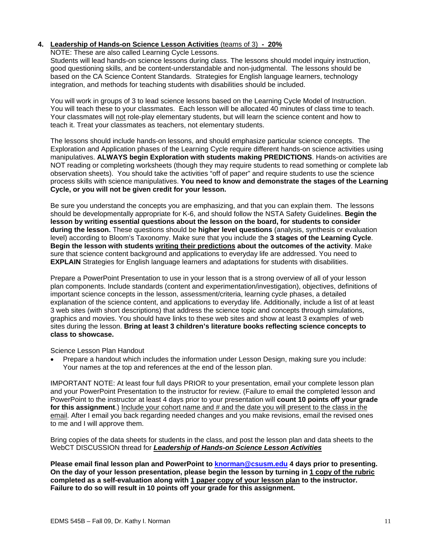## **4. Leadership of Hands-on Science Lesson Activities** (teams of 3) **- 20%**

#### NOTE: These are also called Learning Cycle Lessons.

Students will lead hands-on science lessons during class. The lessons should model inquiry instruction, good questioning skills, and be content-understandable and non-judgmental. The lessons should be based on the CA Science Content Standards. Strategies for English language learners, technology integration, and methods for teaching students with disabilities should be included.

You will work in groups of 3 to lead science lessons based on the Learning Cycle Model of Instruction. You will teach these to your classmates. Each lesson will be allocated 40 minutes of class time to teach. Your classmates will not role-play elementary students, but will learn the science content and how to teach it. Treat your classmates as teachers, not elementary students.

The lessons should include hands-on lessons, and should emphasize particular science concepts. The Exploration and Application phases of the Learning Cycle require different hands-on science activities using manipulatives. **ALWAYS begin Exploration with students making PREDICTIONS**. Hands-on activities are NOT reading or completing worksheets (though they may require students to read something or complete lab observation sheets). You should take the activities "off of paper" and require students to use the science process skills with science manipulatives. **You need to know and demonstrate the stages of the Learning Cycle, or you will not be given credit for your lesson.** 

Be sure you understand the concepts you are emphasizing, and that you can explain them. The lessons should be developmentally appropriate for K-6, and should follow the NSTA Safety Guidelines. **Begin the lesson by writing essential questions about the lesson on the board, for students to consider during the lesson.** These questions should be **higher level questions** (analysis, synthesis or evaluation level) according to Bloom's Taxonomy. Make sure that you include the **3 stages of the Learning Cycle**. **Begin the lesson with students writing their predictions about the outcomes of the activity**. Make sure that science content background and applications to everyday life are addressed. You need to **EXPLAIN** Strategies for English language learners and adaptations for students with disabilities.

Prepare a PowerPoint Presentation to use in your lesson that is a strong overview of all of your lesson plan components. Include standards (content and experimentation/investigation), objectives, definitions of important science concepts in the lesson, assessment/criteria, learning cycle phases, a detailed explanation of the science content, and applications to everyday life. Additionally, include a list of at least 3 web sites (with short descriptions) that address the science topic and concepts through simulations, graphics and movies. You should have links to these web sites and show at least 3 examples of web sites during the lesson. **Bring at least 3 children's literature books reflecting science concepts to class to showcase.** 

Science Lesson Plan Handout

Prepare a handout which includes the information under Lesson Design, making sure you include: Your names at the top and references at the end of the lesson plan.

IMPORTANT NOTE: At least four full days PRIOR to your presentation, email your complete lesson plan and your PowerPoint Presentation to the instructor for review. (Failure to email the completed lesson and PowerPoint to the instructor at least 4 days prior to your presentation will **count 10 points off your grade**  for this assignment.) Include your cohort name and # and the date you will present to the class in the email. After I email you back regarding needed changes and you make revisions, email the revised ones to me and I will approve them.

Bring copies of the data sheets for students in the class, and post the lesson plan and data sheets to the WebCT DISCUSSION thread for *Leadership of Hands-on Science Lesson Activities* 

**Please email final lesson plan and PowerPoint to knorman@csusm.edu 4 days prior to presenting. On the day of your lesson presentation, please begin the lesson by turning in 1 copy of the rubric completed as a self-evaluation along with 1 paper copy of your lesson plan to the instructor. Failure to do so will result in 10 points off your grade for this assignment.**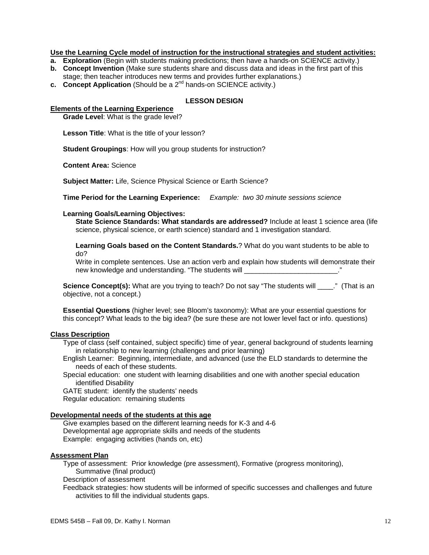#### **Use the Learning Cycle model of instruction for the instructional strategies and student activities:**

- **a. Exploration** (Begin with students making predictions; then have a hands-on SCIENCE activity.)
- **b. Concept Invention** (Make sure students share and discuss data and ideas in the first part of this stage; then teacher introduces new terms and provides further explanations.)
- **c.** Concept Application (Should be a 2<sup>nd</sup> hands-on SCIENCE activity.)

#### **LESSON DESIGN**

#### **Elements of the Learning Experience**

**Grade Level**: What is the grade level?

**Lesson Title**: What is the title of your lesson?

**Student Groupings**: How will you group students for instruction?

**Content Area:** Science

**Subject Matter:** Life, Science Physical Science or Earth Science?

**Time Period for the Learning Experience:** *Example: two 30 minute sessions science* 

#### **Learning Goals/Learning Objectives:**

**State Science Standards: What standards are addressed?** Include at least 1 science area (life science, physical science, or earth science) standard and 1 investigation standard.

**Learning Goals based on the Content Standards.**? What do you want students to be able to do?

Write in complete sentences. Use an action verb and explain how students will demonstrate their new knowledge and understanding. "The students will example the students will contain the students of the studen

**Science Concept(s):** What are you trying to teach? Do not say "The students will \_\_\_..." (That is an objective, not a concept.)

**Essential Questions** (higher level; see Bloom's taxonomy): What are your essential questions for this concept? What leads to the big idea? (be sure these are not lower level fact or info. questions)

#### **Class Description**

Type of class (self contained, subject specific) time of year, general background of students learning in relationship to new learning (challenges and prior learning)

English Learner: Beginning, intermediate, and advanced (use the ELD standards to determine the needs of each of these students.

Special education: one student with learning disabilities and one with another special education identified Disability

GATE student: identify the students' needs

Regular education: remaining students

#### **Developmental needs of the students at this age**

Give examples based on the different learning needs for K-3 and 4-6 Developmental age appropriate skills and needs of the students Example: engaging activities (hands on, etc)

#### **Assessment Plan**

Type of assessment: Prior knowledge (pre assessment), Formative (progress monitoring), Summative (final product)

Description of assessment

Feedback strategies: how students will be informed of specific successes and challenges and future activities to fill the individual students gaps.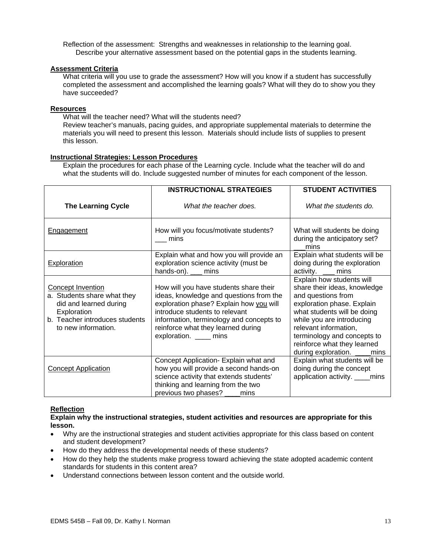Reflection of the assessment: Strengths and weaknesses in relationship to the learning goal. Describe your alternative assessment based on the potential gaps in the students learning.

#### **Assessment Criteria**

What criteria will you use to grade the assessment? How will you know if a student has successfully completed the assessment and accomplished the learning goals? What will they do to show you they have succeeded?

#### **Resources**

What will the teacher need? What will the students need?

Review teacher's manuals, pacing guides, and appropriate supplemental materials to determine the materials you will need to present this lesson. Materials should include lists of supplies to present this lesson.

#### **Instructional Strategies: Lesson Procedures**

Explain the procedures for each phase of the Learning cycle. Include what the teacher will do and what the students will do. Include suggested number of minutes for each component of the lesson.

|                                                                                                                                                           | <b>INSTRUCTIONAL STRATEGIES</b>                                                                                                                                                                                                                                             | <b>STUDENT ACTIVITIES</b>                                                                                                                                                                                                                                                                        |
|-----------------------------------------------------------------------------------------------------------------------------------------------------------|-----------------------------------------------------------------------------------------------------------------------------------------------------------------------------------------------------------------------------------------------------------------------------|--------------------------------------------------------------------------------------------------------------------------------------------------------------------------------------------------------------------------------------------------------------------------------------------------|
| <b>The Learning Cycle</b>                                                                                                                                 | What the teacher does.                                                                                                                                                                                                                                                      | What the students do.                                                                                                                                                                                                                                                                            |
| <b>Engagement</b>                                                                                                                                         | How will you focus/motivate students?<br>mins                                                                                                                                                                                                                               | What will students be doing<br>during the anticipatory set?<br>mins                                                                                                                                                                                                                              |
| <b>Exploration</b>                                                                                                                                        | Explain what and how you will provide an<br>exploration science activity (must be<br>hands-on). ___ mins                                                                                                                                                                    | Explain what students will be<br>doing during the exploration<br>activity. __ mins                                                                                                                                                                                                               |
| <b>Concept Invention</b><br>a. Students share what they<br>did and learned during<br>Exploration<br>b. Teacher introduces students<br>to new information. | How will you have students share their<br>ideas, knowledge and questions from the<br>exploration phase? Explain how you will<br>introduce students to relevant<br>information, terminology and concepts to<br>reinforce what they learned during<br>exploration. _____ mins | Explain how students will<br>share their ideas, knowledge<br>and questions from<br>exploration phase. Explain<br>what students will be doing<br>while you are introducing<br>relevant information,<br>terminology and concepts to<br>reinforce what they learned<br>during exploration. ____mins |
| <b>Concept Application</b>                                                                                                                                | Concept Application- Explain what and<br>how you will provide a second hands-on<br>science activity that extends students'<br>thinking and learning from the two<br>previous two phases? ____mins                                                                           | Explain what students will be<br>doing during the concept<br>application activity. ____mins                                                                                                                                                                                                      |

#### **Reflection**

**Explain why the instructional strategies, student activities and resources are appropriate for this lesson.** 

- Why are the instructional strategies and student activities appropriate for this class based on content and student development?
- How do they address the developmental needs of these students?
- How do they help the students make progress toward achieving the state adopted academic content standards for students in this content area?
- Understand connections between lesson content and the outside world.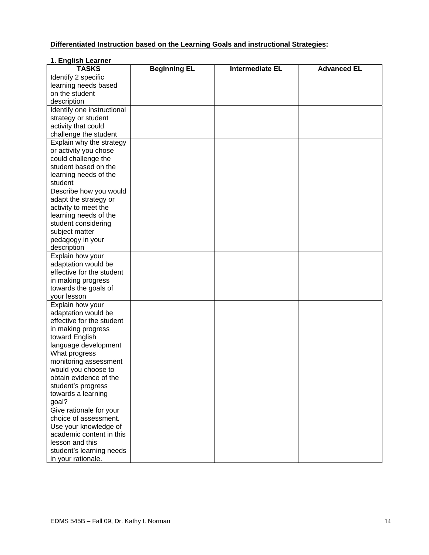## **Differentiated Instruction based on the Learning Goals and instructional Strategies:**

### **1. English Learner**

| <b>TASKS</b>               | <b>Beginning EL</b> | <b>Intermediate EL</b> | <b>Advanced EL</b> |
|----------------------------|---------------------|------------------------|--------------------|
| Identify 2 specific        |                     |                        |                    |
| learning needs based       |                     |                        |                    |
| on the student             |                     |                        |                    |
| description                |                     |                        |                    |
| Identify one instructional |                     |                        |                    |
| strategy or student        |                     |                        |                    |
| activity that could        |                     |                        |                    |
| challenge the student      |                     |                        |                    |
| Explain why the strategy   |                     |                        |                    |
| or activity you chose      |                     |                        |                    |
| could challenge the        |                     |                        |                    |
| student based on the       |                     |                        |                    |
| learning needs of the      |                     |                        |                    |
| student                    |                     |                        |                    |
| Describe how you would     |                     |                        |                    |
| adapt the strategy or      |                     |                        |                    |
| activity to meet the       |                     |                        |                    |
| learning needs of the      |                     |                        |                    |
| student considering        |                     |                        |                    |
| subject matter             |                     |                        |                    |
| pedagogy in your           |                     |                        |                    |
| description                |                     |                        |                    |
| Explain how your           |                     |                        |                    |
| adaptation would be        |                     |                        |                    |
| effective for the student  |                     |                        |                    |
| in making progress         |                     |                        |                    |
| towards the goals of       |                     |                        |                    |
| your lesson                |                     |                        |                    |
| Explain how your           |                     |                        |                    |
| adaptation would be        |                     |                        |                    |
| effective for the student  |                     |                        |                    |
| in making progress         |                     |                        |                    |
| toward English             |                     |                        |                    |
| language development       |                     |                        |                    |
| What progress              |                     |                        |                    |
| monitoring assessment      |                     |                        |                    |
| would you choose to        |                     |                        |                    |
| obtain evidence of the     |                     |                        |                    |
| student's progress         |                     |                        |                    |
| towards a learning         |                     |                        |                    |
| goal?                      |                     |                        |                    |
| Give rationale for your    |                     |                        |                    |
| choice of assessment.      |                     |                        |                    |
| Use your knowledge of      |                     |                        |                    |
| academic content in this   |                     |                        |                    |
| lesson and this            |                     |                        |                    |
| student's learning needs   |                     |                        |                    |
| in your rationale.         |                     |                        |                    |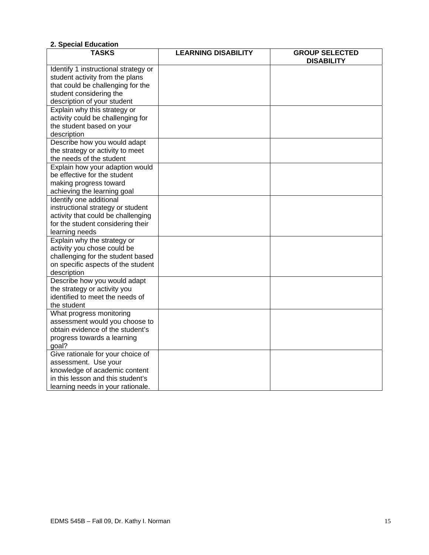| E. Opoolal Eugoguot                  |                            |                                            |
|--------------------------------------|----------------------------|--------------------------------------------|
| <b>TASKS</b>                         | <b>LEARNING DISABILITY</b> | <b>GROUP SELECTED</b><br><b>DISABILITY</b> |
| Identify 1 instructional strategy or |                            |                                            |
| student activity from the plans      |                            |                                            |
| that could be challenging for the    |                            |                                            |
| student considering the              |                            |                                            |
| description of your student          |                            |                                            |
| Explain why this strategy or         |                            |                                            |
| activity could be challenging for    |                            |                                            |
| the student based on your            |                            |                                            |
| description                          |                            |                                            |
| Describe how you would adapt         |                            |                                            |
| the strategy or activity to meet     |                            |                                            |
| the needs of the student             |                            |                                            |
| Explain how your adaption would      |                            |                                            |
| be effective for the student         |                            |                                            |
| making progress toward               |                            |                                            |
| achieving the learning goal          |                            |                                            |
| Identify one additional              |                            |                                            |
| instructional strategy or student    |                            |                                            |
| activity that could be challenging   |                            |                                            |
| for the student considering their    |                            |                                            |
| learning needs                       |                            |                                            |
| Explain why the strategy or          |                            |                                            |
| activity you chose could be          |                            |                                            |
| challenging for the student based    |                            |                                            |
| on specific aspects of the student   |                            |                                            |
| description                          |                            |                                            |
| Describe how you would adapt         |                            |                                            |
| the strategy or activity you         |                            |                                            |
| identified to meet the needs of      |                            |                                            |
| the student                          |                            |                                            |
| What progress monitoring             |                            |                                            |
| assessment would you choose to       |                            |                                            |
| obtain evidence of the student's     |                            |                                            |
| progress towards a learning          |                            |                                            |
| goal?                                |                            |                                            |
| Give rationale for your choice of    |                            |                                            |
| assessment. Use your                 |                            |                                            |
| knowledge of academic content        |                            |                                            |
| in this lesson and this student's    |                            |                                            |
| learning needs in your rationale.    |                            |                                            |

## **2. Special Education**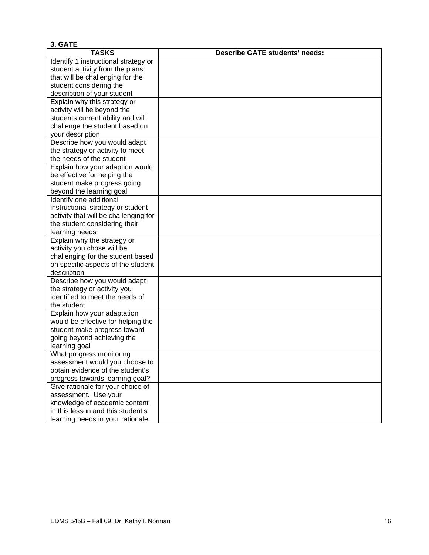| 3. GATE                               |                                       |
|---------------------------------------|---------------------------------------|
| <b>TASKS</b>                          | <b>Describe GATE students' needs:</b> |
| Identify 1 instructional strategy or  |                                       |
| student activity from the plans       |                                       |
| that will be challenging for the      |                                       |
| student considering the               |                                       |
| description of your student           |                                       |
| Explain why this strategy or          |                                       |
| activity will be beyond the           |                                       |
| students current ability and will     |                                       |
| challenge the student based on        |                                       |
| your description                      |                                       |
| Describe how you would adapt          |                                       |
| the strategy or activity to meet      |                                       |
| the needs of the student              |                                       |
| Explain how your adaption would       |                                       |
| be effective for helping the          |                                       |
| student make progress going           |                                       |
| beyond the learning goal              |                                       |
| Identify one additional               |                                       |
| instructional strategy or student     |                                       |
| activity that will be challenging for |                                       |
| the student considering their         |                                       |
| learning needs                        |                                       |
| Explain why the strategy or           |                                       |
| activity you chose will be            |                                       |
| challenging for the student based     |                                       |
| on specific aspects of the student    |                                       |
| description                           |                                       |
| Describe how you would adapt          |                                       |
| the strategy or activity you          |                                       |
| identified to meet the needs of       |                                       |
| the student                           |                                       |
| Explain how your adaptation           |                                       |
| would be effective for helping the    |                                       |
| student make progress toward          |                                       |
| going beyond achieving the            |                                       |
| learning goal                         |                                       |
| What progress monitoring              |                                       |
| assessment would you choose to        |                                       |
| obtain evidence of the student's      |                                       |
| progress towards learning goal?       |                                       |
| Give rationale for your choice of     |                                       |
| assessment. Use your                  |                                       |
| knowledge of academic content         |                                       |
| in this lesson and this student's     |                                       |
| learning needs in your rationale.     |                                       |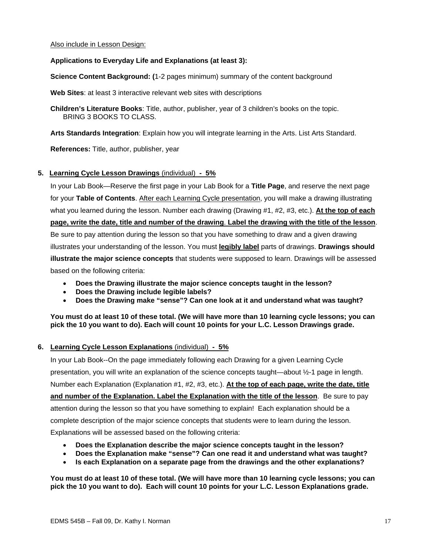#### Also include in Lesson Design:

#### **Applications to Everyday Life and Explanations (at least 3):**

**Science Content Background: (**1-2 pages minimum) summary of the content background

**Web Sites**: at least 3 interactive relevant web sites with descriptions

**Children's Literature Books**: Title, author, publisher, year of 3 children's books on the topic. BRING 3 BOOKS TO CLASS.

**Arts Standards Integration**: Explain how you will integrate learning in the Arts. List Arts Standard.

**References:** Title, author, publisher, year

### **5. Learning Cycle Lesson Drawings** (individual) **- 5%**

In your Lab Book—Reserve the first page in your Lab Book for a **Title Page**, and reserve the next page for your **Table of Contents**. After each Learning Cycle presentation, you will make a drawing illustrating what you learned during the lesson. Number each drawing (Drawing #1, #2, #3, etc.). **At the top of each page, write the date, title and number of the drawing**. **Label the drawing with the title of the lesson**. Be sure to pay attention during the lesson so that you have something to draw and a given drawing illustrates your understanding of the lesson. You must **legibly label** parts of drawings. **Drawings should illustrate the major science concepts** that students were supposed to learn. Drawings will be assessed based on the following criteria:

- Does the Drawing illustrate the major science concepts taught in the lesson?
- **Does the Drawing include legible labels?**
- • **Does the Drawing make "sense"? Can one look at it and understand what was taught?**

**You must do at least 10 of these total. (We will have more than 10 learning cycle lessons; you can pick the 10 you want to do). Each will count 10 points for your L.C. Lesson Drawings grade.** 

#### **6. Learning Cycle Lesson Explanations** (individual) **- 5%**

In your Lab Book--On the page immediately following each Drawing for a given Learning Cycle presentation, you will write an explanation of the science concepts taught—about ½-1 page in length. Number each Explanation (Explanation #1, #2, #3, etc.). **At the top of each page, write the date, title and number of the Explanation. Label the Explanation with the title of the lesson**. Be sure to pay attention during the lesson so that you have something to explain! Each explanation should be a complete description of the major science concepts that students were to learn during the lesson. Explanations will be assessed based on the following criteria:

- **Does the Explanation describe the major science concepts taught in the lesson?**
- **Does the Explanation make "sense"? Can one read it and understand what was taught?**
- **Is each Explanation on a separate page from the drawings and the other explanations?**

**You must do at least 10 of these total. (We will have more than 10 learning cycle lessons; you can pick the 10 you want to do). Each will count 10 points for your L.C. Lesson Explanations grade.**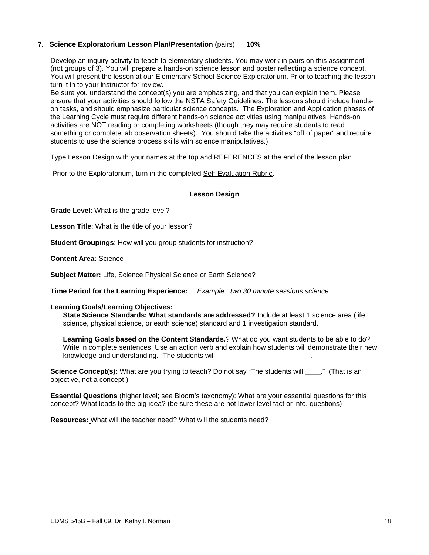#### **7. Science Exploratorium Lesson Plan/Presentation** (pairs) **10%**

Develop an inquiry activity to teach to elementary students. You may work in pairs on this assignment (not groups of 3). You will prepare a hands-on science lesson and poster reflecting a science concept. You will present the lesson at our Elementary School Science Exploratorium. Prior to teaching the lesson, turn it in to your instructor for review.

Be sure you understand the concept(s) you are emphasizing, and that you can explain them. Please ensure that your activities should follow the NSTA Safety Guidelines. The lessons should include handson tasks, and should emphasize particular science concepts. The Exploration and Application phases of the Learning Cycle must require different hands-on science activities using manipulatives. Hands-on activities are NOT reading or completing worksheets (though they may require students to read something or complete lab observation sheets). You should take the activities "off of paper" and require students to use the science process skills with science manipulatives.)

Type Lesson Design with your names at the top and REFERENCES at the end of the lesson plan.

Prior to the Exploratorium, turn in the completed Self-Evaluation Rubric.

#### **Lesson Design**

**Grade Level**: What is the grade level?

**Lesson Title**: What is the title of your lesson?

**Student Groupings**: How will you group students for instruction?

**Content Area:** Science

**Subject Matter:** Life, Science Physical Science or Earth Science?

**Time Period for the Learning Experience:** *Example: two 30 minute sessions science* 

#### **Learning Goals/Learning Objectives:**

**State Science Standards: What standards are addressed?** Include at least 1 science area (life science, physical science, or earth science) standard and 1 investigation standard.

**Learning Goals based on the Content Standards.**? What do you want students to be able to do? Write in complete sentences. Use an action verb and explain how students will demonstrate their new knowledge and understanding. "The students will example the students will contain the students of the students

**Science Concept(s):** What are you trying to teach? Do not say "The students will \_\_\_\_." (That is an objective, not a concept.)

**Essential Questions** (higher level; see Bloom's taxonomy): What are your essential questions for this concept? What leads to the big idea? (be sure these are not lower level fact or info. questions)

**Resources:** What will the teacher need? What will the students need?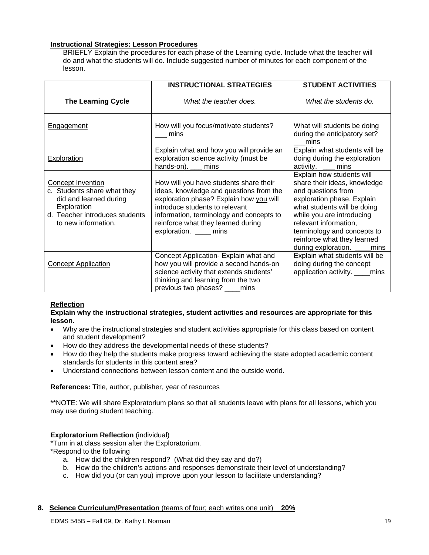### **Instructional Strategies: Lesson Procedures**

BRIEFLY Explain the procedures for each phase of the Learning cycle. Include what the teacher will do and what the students will do. Include suggested number of minutes for each component of the lesson.

|                                                                                                                                                    | <b>INSTRUCTIONAL STRATEGIES</b>                                                                                                                                                                                                                                            | <b>STUDENT ACTIVITIES</b>                                                                                                                                                                                                                                                                        |
|----------------------------------------------------------------------------------------------------------------------------------------------------|----------------------------------------------------------------------------------------------------------------------------------------------------------------------------------------------------------------------------------------------------------------------------|--------------------------------------------------------------------------------------------------------------------------------------------------------------------------------------------------------------------------------------------------------------------------------------------------|
| <b>The Learning Cycle</b>                                                                                                                          | What the teacher does.                                                                                                                                                                                                                                                     | What the students do.                                                                                                                                                                                                                                                                            |
| Engagement                                                                                                                                         | How will you focus/motivate students?<br>mins                                                                                                                                                                                                                              | What will students be doing<br>during the anticipatory set?<br>mins                                                                                                                                                                                                                              |
| <b>Exploration</b>                                                                                                                                 | Explain what and how you will provide an<br>exploration science activity (must be<br>hands-on). ___ mins                                                                                                                                                                   | Explain what students will be<br>doing during the exploration<br>activity. __ mins                                                                                                                                                                                                               |
| Concept Invention<br>c. Students share what they<br>did and learned during<br>Exploration<br>d. Teacher introduces students<br>to new information. | How will you have students share their<br>ideas, knowledge and questions from the<br>exploration phase? Explain how you will<br>introduce students to relevant<br>information, terminology and concepts to<br>reinforce what they learned during<br>exploration. ____ mins | Explain how students will<br>share their ideas, knowledge<br>and questions from<br>exploration phase. Explain<br>what students will be doing<br>while you are introducing<br>relevant information,<br>terminology and concepts to<br>reinforce what they learned<br>during exploration. ____mins |
| <b>Concept Application</b>                                                                                                                         | Concept Application- Explain what and<br>how you will provide a second hands-on<br>science activity that extends students'<br>thinking and learning from the two<br>previous two phases? _____ mins                                                                        | Explain what students will be<br>doing during the concept<br>application activity. ____mins                                                                                                                                                                                                      |

## **Reflection**

#### **Explain why the instructional strategies, student activities and resources are appropriate for this lesson.**

- Why are the instructional strategies and student activities appropriate for this class based on content and student development?
- How do they address the developmental needs of these students?
- How do they help the students make progress toward achieving the state adopted academic content standards for students in this content area?
- Understand connections between lesson content and the outside world.

#### **References:** Title, author, publisher, year of resources

\*\*NOTE: We will share Exploratorium plans so that all students leave with plans for all lessons, which you may use during student teaching.

#### **Exploratorium Reflection** (individual)

\*Turn in at class session after the Exploratorium.

\*Respond to the following

- a. How did the children respond? (What did they say and do?)
- b. How do the children's actions and responses demonstrate their level of understanding?
- c. How did you (or can you) improve upon your lesson to facilitate understanding?

#### **8. Science Curriculum/Presentation** (teams of four; each writes one unit) **20%**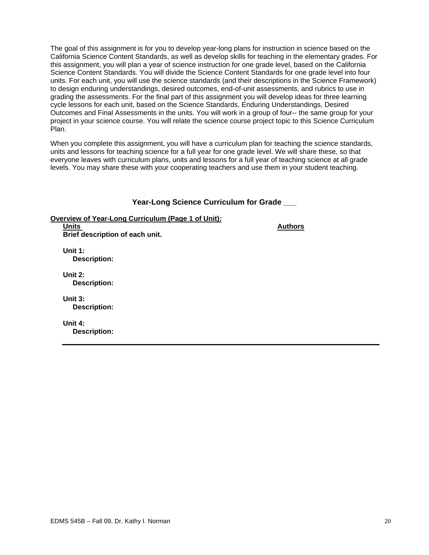The goal of this assignment is for you to develop year-long plans for instruction in science based on the California Science Content Standards, as well as develop skills for teaching in the elementary grades. For this assignment, you will plan a year of science instruction for one grade level, based on the California Science Content Standards. You will divide the Science Content Standards for one grade level into four units. For each unit, you will use the science standards (and their descriptions in the Science Framework) to design enduring understandings, desired outcomes, end-of-unit assessments, and rubrics to use in grading the assessments. For the final part of this assignment you will develop ideas for three learning cycle lessons for each unit, based on the Science Standards, Enduring Understandings, Desired Outcomes and Final Assessments in the units. You will work in a group of four-- the same group for your project in your science course. You will relate the science course project topic to this Science Curriculum Plan.

When you complete this assignment, you will have a curriculum plan for teaching the science standards, units and lessons for teaching science for a full year for one grade level. We will share these, so that everyone leaves with curriculum plans, units and lessons for a full year of teaching science at all grade levels. You may share these with your cooperating teachers and use them in your student teaching.

## **Year-Long Science Curriculum for Grade \_\_\_**

**Overview of Year-Long Curriculum (Page 1 of Unit):** 

**Units Authors Authors Authors Authors Authors Authors Authors Authors Authors Authors Brief description of each unit.** 

**Unit 1: Description:** 

**Unit 2: Description:** 

**Unit 3: Description:** 

**Unit 4: Description:**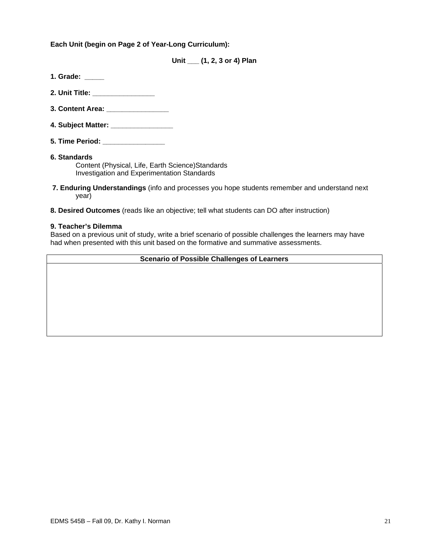**Each Unit (begin on Page 2 of Year-Long Curriculum):** 

**Unit \_\_\_ (1, 2, 3 or 4) Plan** 

- **1. Grade: \_\_\_\_\_**
- **2. Unit Title: \_\_\_\_\_\_\_\_\_\_\_\_\_\_\_\_**
- **3. Content Area:** *a*
- **4. Subject Matter: \_\_\_\_\_\_\_\_\_\_\_\_\_\_\_\_**
- **5. Time Period: \_\_\_\_\_\_\_\_\_\_\_\_\_\_\_\_**

#### **6. Standards**  Content (Physical, Life, Earth Science)Standards Investigation and Experimentation Standards

- **7. Enduring Understandings** (info and processes you hope students remember and understand next year)
- **8. Desired Outcomes** (reads like an objective; tell what students can DO after instruction)

#### **9. Teacher's Dilemma**

Based on a previous unit of study, write a brief scenario of possible challenges the learners may have had when presented with this unit based on the formative and summative assessments.

#### **Scenario of Possible Challenges of Learners**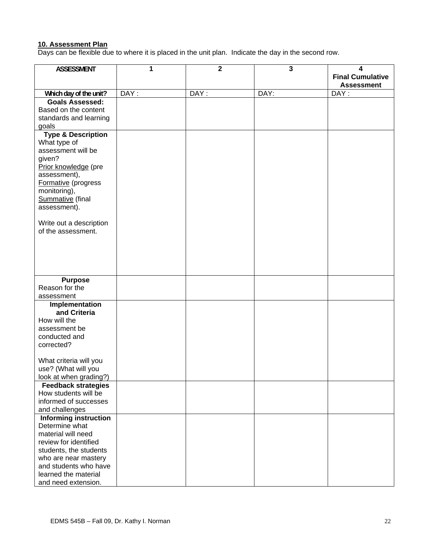#### **10. Assessment Plan**

Days can be flexible due to where it is placed in the unit plan. Indicate the day in the second row.

| <b>ASSESSMENT</b>             | 1    | $\overline{2}$ | $\mathbf{3}$ | 4                       |
|-------------------------------|------|----------------|--------------|-------------------------|
|                               |      |                |              | <b>Final Cumulative</b> |
|                               |      |                |              | <b>Assessment</b>       |
| Which day of the unit?        | DAY: | DAY:           | DAY:         | DAY:                    |
| <b>Goals Assessed:</b>        |      |                |              |                         |
| Based on the content          |      |                |              |                         |
| standards and learning        |      |                |              |                         |
| goals                         |      |                |              |                         |
| <b>Type &amp; Description</b> |      |                |              |                         |
| What type of                  |      |                |              |                         |
| assessment will be            |      |                |              |                         |
| given?                        |      |                |              |                         |
| Prior knowledge (pre          |      |                |              |                         |
| assessment),                  |      |                |              |                         |
| Formative (progress           |      |                |              |                         |
| monitoring),                  |      |                |              |                         |
| Summative (final              |      |                |              |                         |
| assessment).                  |      |                |              |                         |
|                               |      |                |              |                         |
| Write out a description       |      |                |              |                         |
| of the assessment.            |      |                |              |                         |
|                               |      |                |              |                         |
|                               |      |                |              |                         |
|                               |      |                |              |                         |
|                               |      |                |              |                         |
|                               |      |                |              |                         |
| <b>Purpose</b>                |      |                |              |                         |
| Reason for the                |      |                |              |                         |
| assessment                    |      |                |              |                         |
| Implementation                |      |                |              |                         |
| and Criteria                  |      |                |              |                         |
| How will the                  |      |                |              |                         |
| assessment be                 |      |                |              |                         |
| conducted and                 |      |                |              |                         |
| corrected?                    |      |                |              |                         |
|                               |      |                |              |                         |
| What criteria will you        |      |                |              |                         |
| use? (What will you           |      |                |              |                         |
| look at when grading?)        |      |                |              |                         |
| <b>Feedback strategies</b>    |      |                |              |                         |
| How students will be          |      |                |              |                         |
| informed of successes         |      |                |              |                         |
| and challenges                |      |                |              |                         |
| <b>Informing instruction</b>  |      |                |              |                         |
| Determine what                |      |                |              |                         |
| material will need            |      |                |              |                         |
| review for identified         |      |                |              |                         |
| students, the students        |      |                |              |                         |
| who are near mastery          |      |                |              |                         |
| and students who have         |      |                |              |                         |
| learned the material          |      |                |              |                         |
| and need extension.           |      |                |              |                         |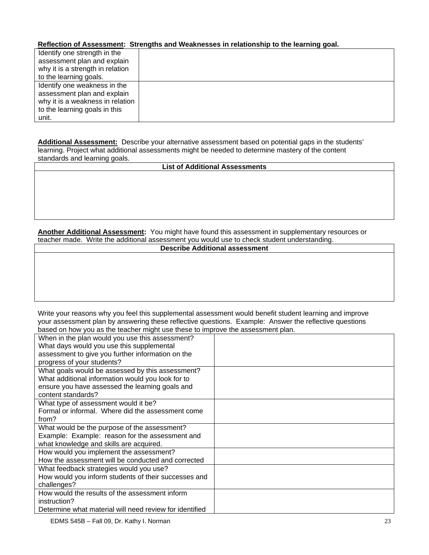## **Reflection of Assessment: Strengths and Weaknesses in relationship to the learning goal.**

| Identify one strength in the     |  |
|----------------------------------|--|
| assessment plan and explain      |  |
| why it is a strength in relation |  |
| to the learning goals.           |  |
| Identify one weakness in the     |  |
| assessment plan and explain      |  |
| why it is a weakness in relation |  |
| to the learning goals in this    |  |
| unit.                            |  |

 **Additional Assessment:** Describe your alternative assessment based on potential gaps in the students' learning. Project what additional assessments might be needed to determine mastery of the content standards and learning goals.

## **List of Additional Assessments**

**Another Additional Assessment:** You might have found this assessment in supplementary resources or teacher made. Write the additional assessment you would use to check student understanding.

| <b>Describe Additional assessment</b> |  |
|---------------------------------------|--|
|---------------------------------------|--|

Write your reasons why you feel this supplemental assessment would benefit student learning and improve your assessment plan by answering these reflective questions. Example: Answer the reflective questions based on how you as the teacher might use these to improve the assessment plan.

| based on now you as the teacher might ase these to improve the assessment plan. |  |
|---------------------------------------------------------------------------------|--|
| When in the plan would you use this assessment?                                 |  |
| What days would you use this supplemental                                       |  |
| assessment to give you further information on the                               |  |
| progress of your students?                                                      |  |
| What goals would be assessed by this assessment?                                |  |
| What additional information would you look for to                               |  |
| ensure you have assessed the learning goals and                                 |  |
| content standards?                                                              |  |
| What type of assessment would it be?                                            |  |
| Formal or informal. Where did the assessment come                               |  |
| from?                                                                           |  |
| What would be the purpose of the assessment?                                    |  |
| Example: Example: reason for the assessment and                                 |  |
| what knowledge and skills are acquired.                                         |  |
| How would you implement the assessment?                                         |  |
| How the assessment will be conducted and corrected                              |  |
| What feedback strategies would you use?                                         |  |
| How would you inform students of their successes and                            |  |
| challenges?                                                                     |  |
| How would the results of the assessment inform                                  |  |
| instruction?                                                                    |  |
| Determine what material will need review for identified                         |  |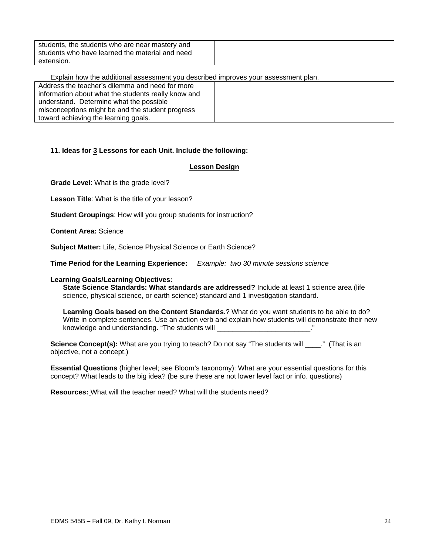| students, the students who are near mastery and |  |
|-------------------------------------------------|--|
| students who have learned the material and need |  |
| extension.                                      |  |

Explain how the additional assessment you described improves your assessment plan.

| Address the teacher's dilemma and need for more     |  |
|-----------------------------------------------------|--|
| information about what the students really know and |  |
| understand. Determine what the possible             |  |
| misconceptions might be and the student progress    |  |
| toward achieving the learning goals.                |  |

## **11. Ideas for 3 Lessons for each Unit. Include the following:**

#### **Lesson Design**

**Grade Level**: What is the grade level?

**Lesson Title**: What is the title of your lesson?

**Student Groupings**: How will you group students for instruction?

**Content Area:** Science

**Subject Matter:** Life, Science Physical Science or Earth Science?

**Time Period for the Learning Experience:** *Example: two 30 minute sessions science* 

#### **Learning Goals/Learning Objectives:**

**State Science Standards: What standards are addressed?** Include at least 1 science area (life science, physical science, or earth science) standard and 1 investigation standard.

**Learning Goals based on the Content Standards.**? What do you want students to be able to do? Write in complete sentences. Use an action verb and explain how students will demonstrate their new knowledge and understanding. "The students will \_\_\_\_\_\_\_\_\_\_\_\_\_\_\_\_\_\_\_\_\_\_\_\_\_\_."

**Science Concept(s):** What are you trying to teach? Do not say "The students will \_\_\_\_." (That is an objective, not a concept.)

**Essential Questions** (higher level; see Bloom's taxonomy): What are your essential questions for this concept? What leads to the big idea? (be sure these are not lower level fact or info. questions)

**Resources:** What will the teacher need? What will the students need?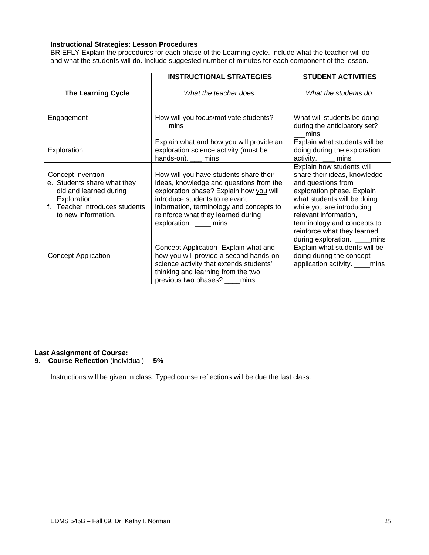## **Instructional Strategies: Lesson Procedures**

BRIEFLY Explain the procedures for each phase of the Learning cycle. Include what the teacher will do and what the students will do. Include suggested number of minutes for each component of the lesson.

|                                                                                                                                                           | <b>INSTRUCTIONAL STRATEGIES</b>                                                                                                                                                                                                                                            | <b>STUDENT ACTIVITIES</b>                                                                                                                                                                                                                                                                        |
|-----------------------------------------------------------------------------------------------------------------------------------------------------------|----------------------------------------------------------------------------------------------------------------------------------------------------------------------------------------------------------------------------------------------------------------------------|--------------------------------------------------------------------------------------------------------------------------------------------------------------------------------------------------------------------------------------------------------------------------------------------------|
| <b>The Learning Cycle</b>                                                                                                                                 | What the teacher does.                                                                                                                                                                                                                                                     | What the students do.                                                                                                                                                                                                                                                                            |
| Engagement                                                                                                                                                | How will you focus/motivate students?<br>mins                                                                                                                                                                                                                              | What will students be doing<br>during the anticipatory set?<br>mins                                                                                                                                                                                                                              |
| <b>Exploration</b>                                                                                                                                        | Explain what and how you will provide an<br>exploration science activity (must be<br>hands-on). __ mins                                                                                                                                                                    | Explain what students will be<br>doing during the exploration<br>activity. <u>__</u> mins                                                                                                                                                                                                        |
| <b>Concept Invention</b><br>e. Students share what they<br>did and learned during<br>Exploration<br>f. Teacher introduces students<br>to new information. | How will you have students share their<br>ideas, knowledge and questions from the<br>exploration phase? Explain how you will<br>introduce students to relevant<br>information, terminology and concepts to<br>reinforce what they learned during<br>exploration. ____ mins | Explain how students will<br>share their ideas, knowledge<br>and questions from<br>exploration phase. Explain<br>what students will be doing<br>while you are introducing<br>relevant information,<br>terminology and concepts to<br>reinforce what they learned<br>during exploration. ____mins |
| <b>Concept Application</b>                                                                                                                                | Concept Application- Explain what and<br>how you will provide a second hands-on<br>science activity that extends students'<br>thinking and learning from the two<br>previous two phases? ____mins                                                                          | Explain what students will be<br>doing during the concept<br>application activity. ____mins                                                                                                                                                                                                      |

#### **9. Course Reflection** (individual) **5% Last Assignment of Course:**

Instructions will be given in class. Typed course reflections will be due the last class.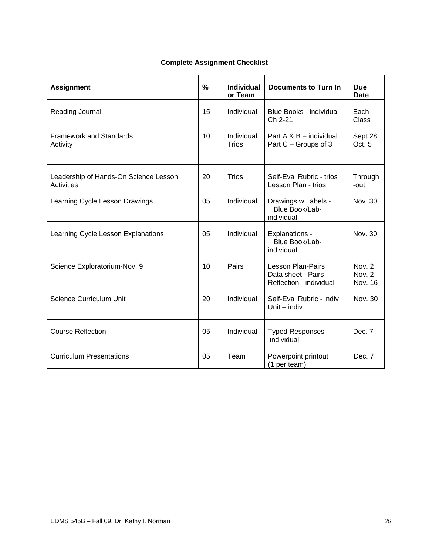## **Complete Assignment Checklist**

| <b>Assignment</b>                                          | %  | <b>Individual</b><br>or Team | <b>Documents to Turn In</b>                                              | <b>Due</b><br><b>Date</b>   |
|------------------------------------------------------------|----|------------------------------|--------------------------------------------------------------------------|-----------------------------|
| Reading Journal                                            | 15 | Individual                   | Blue Books - individual<br>Ch 2-21                                       | Each<br>Class               |
| <b>Framework and Standards</b><br>Activity                 | 10 | Individual<br><b>Trios</b>   | Part $A \& B$ – individual<br>Part C - Groups of 3                       | Sept.28<br>Oct. 5           |
| Leadership of Hands-On Science Lesson<br><b>Activities</b> | 20 | <b>Trios</b>                 | Self-Eval Rubric - trios<br>Lesson Plan - trios                          | Through<br>-out             |
| Learning Cycle Lesson Drawings                             | 05 | Individual                   | Drawings w Labels -<br>Blue Book/Lab-<br>individual                      | Nov. 30                     |
| Learning Cycle Lesson Explanations                         | 05 | Individual                   | Explanations -<br>Blue Book/Lab-<br>individual                           | Nov. 30                     |
| Science Exploratorium-Nov. 9                               | 10 | Pairs                        | <b>Lesson Plan-Pairs</b><br>Data sheet- Pairs<br>Reflection - individual | Nov. 2<br>Nov. 2<br>Nov. 16 |
| <b>Science Curriculum Unit</b>                             | 20 | Individual                   | Self-Eval Rubric - indiv<br>Unit $-$ indiv.                              | Nov. 30                     |
| <b>Course Reflection</b>                                   | 05 | Individual                   | <b>Typed Responses</b><br>individual                                     | Dec. 7                      |
| <b>Curriculum Presentations</b>                            | 05 | Team                         | Powerpoint printout<br>(1 per team)                                      | Dec. 7                      |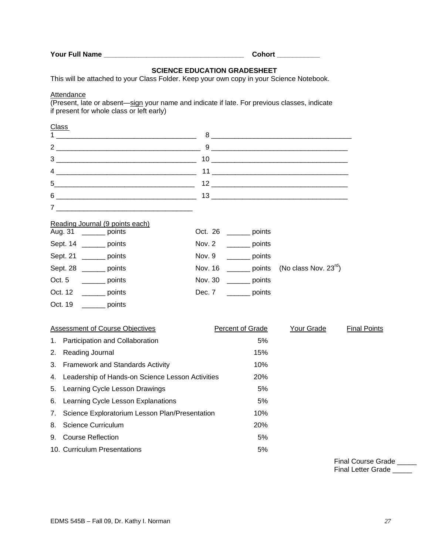**Your Full Name \_\_\_\_\_\_\_\_\_\_\_\_\_\_\_\_\_\_\_\_\_\_\_\_\_\_\_\_\_\_\_\_\_\_\_\_ Cohort \_\_\_\_\_\_\_\_\_\_\_** 

## **SCIENCE EDUCATION GRADESHEET**

This will be attached to your Class Folder. Keep your own copy in your Science Notebook.

**Attendance** 

(Present, late or absent—sign your name and indicate if late. For previous classes, indicate if present for whole class or left early)

# 5. Learning Cycle Lesson Drawings 66 and 1998 5% 6. Learning Cycle Lesson Explanations 6. Exception 1996 5% Class 1 \_\_\_\_\_\_\_\_\_\_\_\_\_\_\_\_\_\_\_\_\_\_\_\_\_\_\_\_\_\_\_\_\_\_\_\_ 8 \_\_\_\_\_\_\_\_\_\_\_\_\_\_\_\_\_\_\_\_\_\_\_\_\_\_\_\_\_\_\_\_\_\_\_\_ 2  $\frac{9}{2}$   $\frac{1}{2}$   $\frac{1}{2}$   $\frac{1}{2}$   $\frac{1}{2}$   $\frac{1}{2}$   $\frac{1}{2}$   $\frac{1}{2}$   $\frac{1}{2}$   $\frac{1}{2}$   $\frac{1}{2}$   $\frac{1}{2}$   $\frac{1}{2}$   $\frac{1}{2}$   $\frac{1}{2}$   $\frac{1}{2}$   $\frac{1}{2}$   $\frac{1}{2}$   $\frac{1}{2}$   $\frac{1}{2}$   $\frac{1}{2}$   $\frac{1}{2}$ 3 \_\_\_\_\_\_\_\_\_\_\_\_\_\_\_\_\_\_\_\_\_\_\_\_\_\_\_\_\_\_\_\_\_\_\_\_ 10 \_\_\_\_\_\_\_\_\_\_\_\_\_\_\_\_\_\_\_\_\_\_\_\_\_\_\_\_\_\_\_\_\_\_\_ 4 \_\_\_\_\_\_\_\_\_\_\_\_\_\_\_\_\_\_\_\_\_\_\_\_\_\_\_\_\_\_\_\_\_\_\_\_ 11 \_\_\_\_\_\_\_\_\_\_\_\_\_\_\_\_\_\_\_\_\_\_\_\_\_\_\_\_\_\_\_\_\_\_\_ 5\_\_\_\_\_\_\_\_\_\_\_\_\_\_\_\_\_\_\_\_\_\_\_\_\_\_\_\_\_\_\_\_\_\_\_\_ 12 \_\_\_\_\_\_\_\_\_\_\_\_\_\_\_\_\_\_\_\_\_\_\_\_\_\_\_\_\_\_\_\_\_\_\_ 6 \_\_\_\_\_\_\_\_\_\_\_\_\_\_\_\_\_\_\_\_\_\_\_\_\_\_\_\_\_\_\_\_\_\_\_\_ 13 \_\_\_\_\_\_\_\_\_\_\_\_\_\_\_\_\_\_\_\_\_\_\_\_\_\_\_\_\_\_\_\_\_\_\_  $7$   $\overline{\phantom{a}}$ Reading Journal (9 points each) Aug. 31 \_\_\_\_\_\_ points Oct. 26 \_\_\_\_\_\_ points Sept. 14 \_\_\_\_\_\_\_ points Nov. 2 \_\_\_\_\_\_ points Sept. 21 \_\_\_\_\_\_\_ points Nov. 9 \_\_\_\_\_\_ points Sept. 28 \_\_\_\_\_\_ points Mov. 16 \_\_\_\_\_\_ points (No class Nov. 23<sup>rd</sup>) Oct. 5 \_\_\_\_\_\_\_ points Nov. 30 \_\_\_\_\_\_ points Oct. 12 \_\_\_\_\_\_\_ points Dec. 7 \_\_\_\_\_\_ points Oct. 19 \_\_\_\_\_\_ points Assessment of Course Objectives **Percent of Grade** Your Grade Final Points 1. Participation and Collaboration 6% 2. Reading Journal 2. Sea and 2. Sea and 2. Sea and 2. Sea and 2. Sea and 2. Sea and 2. Sea and 2. Sea and 2. Sea and 2. Sea and 2. Sea and 2. Sea and 2. Sea and 2. Sea and 2. Sea and 2. Sea and 2. Sea and 2. Sea and 2. Se 3. Framework and Standards Activity 10% 4. Leadership of Hands-on Science Lesson Activities 20% 7. Science Exploratorium Lesson Plan/Presentation 10% 8. Science Curriculum 20% 9. Course Reflection 5% 10. Curriculum Presentations 6%

Final Course Grade \_\_\_\_\_ Final Letter Grade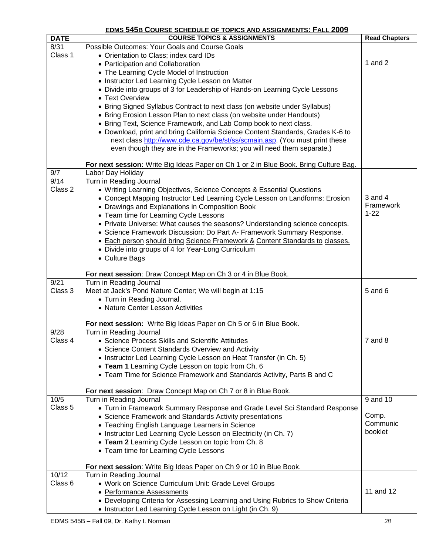## **EDMS 545B COURSE SCHEDULE OF TOPICS AND ASSIGNMENTS: FALL 2009**

| <b>DATE</b>        | <b>COURSE TOPICS &amp; ASSIGNMENTS</b>                                                                                  | <b>Read Chapters</b> |
|--------------------|-------------------------------------------------------------------------------------------------------------------------|----------------------|
| 8/31               | Possible Outcomes: Your Goals and Course Goals                                                                          |                      |
| Class 1            | • Orientation to Class; index card IDs                                                                                  |                      |
|                    | • Participation and Collaboration                                                                                       | 1 and $2$            |
|                    | • The Learning Cycle Model of Instruction                                                                               |                      |
|                    | • Instructor Led Learning Cycle Lesson on Matter                                                                        |                      |
|                    | • Divide into groups of 3 for Leadership of Hands-on Learning Cycle Lessons                                             |                      |
|                    | • Text Overview                                                                                                         |                      |
|                    | • Bring Signed Syllabus Contract to next class (on website under Syllabus)                                              |                      |
|                    | • Bring Erosion Lesson Plan to next class (on website under Handouts)                                                   |                      |
|                    | • Bring Text, Science Framework, and Lab Comp book to next class.                                                       |                      |
|                    | • Download, print and bring California Science Content Standards, Grades K-6 to                                         |                      |
|                    | next class http://www.cde.ca.gov/be/st/ss/scmain.asp. (You must print these                                             |                      |
|                    | even though they are in the Frameworks; you will need them separate.)                                                   |                      |
|                    | For next session: Write Big Ideas Paper on Ch 1 or 2 in Blue Book. Bring Culture Bag.                                   |                      |
| 9/7                | Labor Day Holiday                                                                                                       |                      |
| 9/14               | Turn in Reading Journal                                                                                                 |                      |
| Class 2            | • Writing Learning Objectives, Science Concepts & Essential Questions                                                   |                      |
|                    | • Concept Mapping Instructor Led Learning Cycle Lesson on Landforms: Erosion                                            | $3$ and $4$          |
|                    | • Drawings and Explanations in Composition Book                                                                         | Framework            |
|                    | • Team time for Learning Cycle Lessons                                                                                  | $1 - 22$             |
|                    | • Private Universe: What causes the seasons? Understanding science concepts.                                            |                      |
|                    | • Science Framework Discussion: Do Part A- Framework Summary Response.                                                  |                      |
|                    | • Each person should bring Science Framework & Content Standards to classes.                                            |                      |
|                    | • Divide into groups of 4 for Year-Long Curriculum                                                                      |                      |
|                    | • Culture Bags                                                                                                          |                      |
|                    | For next session: Draw Concept Map on Ch 3 or 4 in Blue Book.                                                           |                      |
| 9/21               | Turn in Reading Journal                                                                                                 |                      |
| Class 3            | Meet at Jack's Pond Nature Center; We will begin at 1:15                                                                | 5 and 6              |
|                    | • Turn in Reading Journal.                                                                                              |                      |
|                    | • Nature Center Lesson Activities                                                                                       |                      |
|                    |                                                                                                                         |                      |
|                    | For next session: Write Big Ideas Paper on Ch 5 or 6 in Blue Book.                                                      |                      |
| 9/28<br>Class 4    | Turn in Reading Journal<br>• Science Process Skills and Scientific Attitudes                                            | $7$ and $8$          |
|                    |                                                                                                                         |                      |
|                    | • Science Content Standards Overview and Activity<br>• Instructor Led Learning Cycle Lesson on Heat Transfer (in Ch. 5) |                      |
|                    | • Team 1 Learning Cycle Lesson on topic from Ch. 6                                                                      |                      |
|                    | • Team Time for Science Framework and Standards Activity, Parts B and C                                                 |                      |
|                    |                                                                                                                         |                      |
|                    | For next session: Draw Concept Map on Ch 7 or 8 in Blue Book.                                                           |                      |
| 10/5               | Turn in Reading Journal                                                                                                 | 9 and 10             |
| Class <sub>5</sub> | • Turn in Framework Summary Response and Grade Level Sci Standard Response                                              |                      |
|                    | • Science Framework and Standards Activity presentations                                                                | Comp.                |
|                    | • Teaching English Language Learners in Science                                                                         | Communic             |
|                    | • Instructor Led Learning Cycle Lesson on Electricity (in Ch. 7)                                                        | booklet              |
|                    | • Team 2 Learning Cycle Lesson on topic from Ch. 8                                                                      |                      |
|                    | • Team time for Learning Cycle Lessons                                                                                  |                      |
|                    | For next session: Write Big Ideas Paper on Ch 9 or 10 in Blue Book.                                                     |                      |
| 10/12              | Turn in Reading Journal                                                                                                 |                      |
| Class 6            | • Work on Science Curriculum Unit: Grade Level Groups                                                                   |                      |
|                    | • Performance Assessments                                                                                               | 11 and 12            |
|                    | • Developing Criteria for Assessing Learning and Using Rubrics to Show Criteria                                         |                      |
|                    | • Instructor Led Learning Cycle Lesson on Light (in Ch. 9)                                                              |                      |